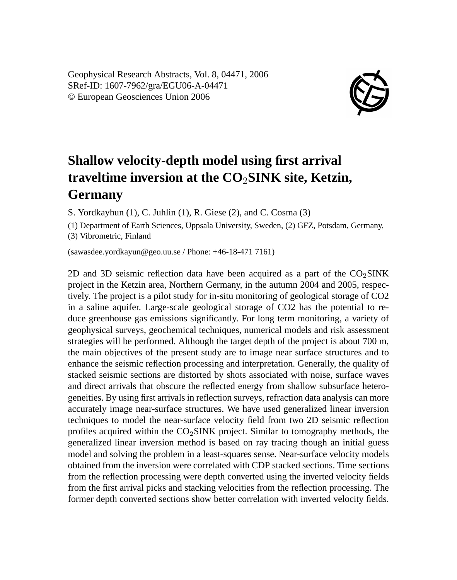Geophysical Research Abstracts, Vol. 8, 04471, 2006 SRef-ID: 1607-7962/gra/EGU06-A-04471 © European Geosciences Union 2006



## **Shallow velocity-depth model using first arrival traveltime inversion at the CO**2**SINK site, Ketzin, Germany**

S. Yordkayhun (1), C. Juhlin (1), R. Giese (2), and C. Cosma (3)

(1) Department of Earth Sciences, Uppsala University, Sweden, (2) GFZ, Potsdam, Germany,

(3) Vibrometric, Finland

(sawasdee.yordkayun@geo.uu.se / Phone: +46-18-471 7161)

2D and 3D seismic reflection data have been acquired as a part of the  $CO<sub>2</sub> SINK$ project in the Ketzin area, Northern Germany, in the autumn 2004 and 2005, respectively. The project is a pilot study for in-situ monitoring of geological storage of CO2 in a saline aquifer. Large-scale geological storage of CO2 has the potential to reduce greenhouse gas emissions significantly. For long term monitoring, a variety of geophysical surveys, geochemical techniques, numerical models and risk assessment strategies will be performed. Although the target depth of the project is about 700 m, the main objectives of the present study are to image near surface structures and to enhance the seismic reflection processing and interpretation. Generally, the quality of stacked seismic sections are distorted by shots associated with noise, surface waves and direct arrivals that obscure the reflected energy from shallow subsurface heterogeneities. By using first arrivals in reflection surveys, refraction data analysis can more accurately image near-surface structures. We have used generalized linear inversion techniques to model the near-surface velocity field from two 2D seismic reflection profiles acquired within the  $CO<sub>2</sub>$ SINK project. Similar to tomography methods, the generalized linear inversion method is based on ray tracing though an initial guess model and solving the problem in a least-squares sense. Near-surface velocity models obtained from the inversion were correlated with CDP stacked sections. Time sections from the reflection processing were depth converted using the inverted velocity fields from the first arrival picks and stacking velocities from the reflection processing. The former depth converted sections show better correlation with inverted velocity fields.